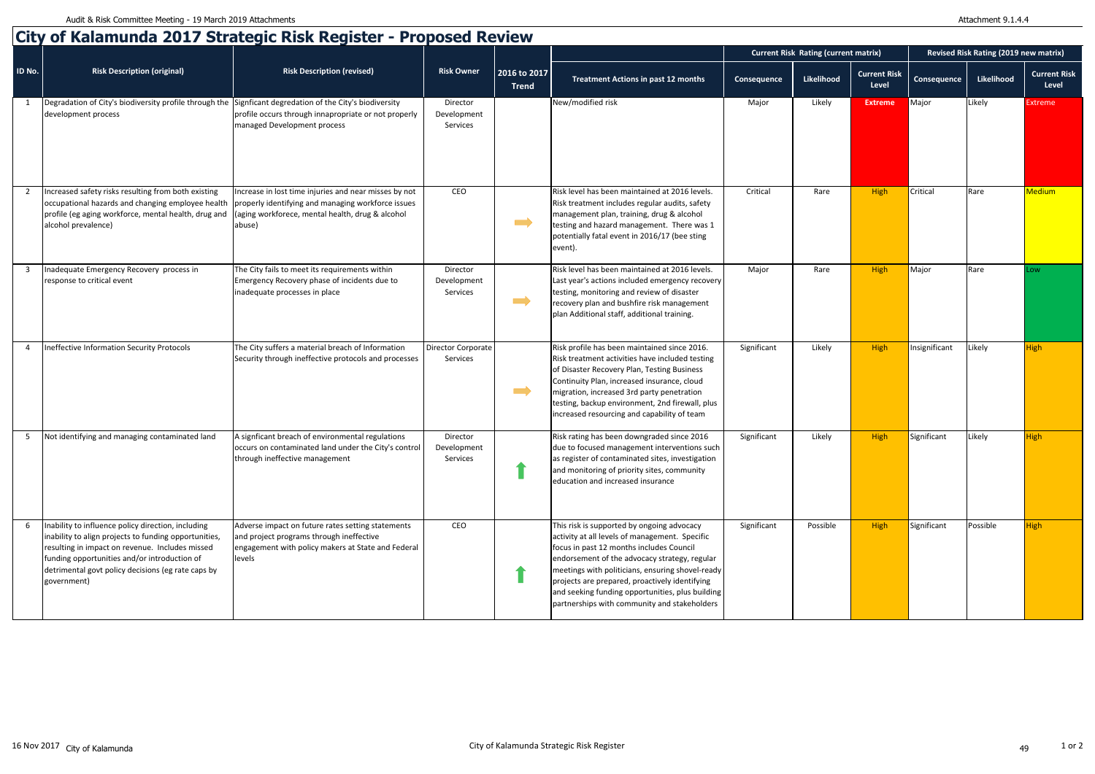|                |                                                                                                                                                                                                                                                                                     |                                                                                                                                                               |                                     |                              |                                                                                                                                                                                                                                                                                                                                                                                                     | <b>Current Risk Rating (current matrix)</b> |            |                              | Revised Risk Rating (2019 new matrix) |            |                              |
|----------------|-------------------------------------------------------------------------------------------------------------------------------------------------------------------------------------------------------------------------------------------------------------------------------------|---------------------------------------------------------------------------------------------------------------------------------------------------------------|-------------------------------------|------------------------------|-----------------------------------------------------------------------------------------------------------------------------------------------------------------------------------------------------------------------------------------------------------------------------------------------------------------------------------------------------------------------------------------------------|---------------------------------------------|------------|------------------------------|---------------------------------------|------------|------------------------------|
| ID No.         | <b>Risk Description (original)</b>                                                                                                                                                                                                                                                  | <b>Risk Description (revised)</b>                                                                                                                             | <b>Risk Owner</b>                   | 2016 to 2017<br><b>Trend</b> | <b>Treatment Actions in past 12 months</b>                                                                                                                                                                                                                                                                                                                                                          | Consequence                                 | Likelihood | <b>Current Risk</b><br>Level | Consequence                           | Likelihood | <b>Current Risk</b><br>Level |
|                | Degradation of City's biodiversity profile through the Signficant degredation of the City's biodiversity<br>development process                                                                                                                                                     | profile occurs through innapropriate or not properly<br>managed Development process                                                                           | Director<br>Development<br>Services |                              | New/modified risk                                                                                                                                                                                                                                                                                                                                                                                   | Major                                       | Likely     | <b>Extreme</b>               | Major                                 | Likely     | <b>Extreme</b>               |
|                | Increased safety risks resulting from both existing<br>occupational hazards and changing employee health properly identifying and managing workforce issues<br>profile (eg aging workforce, mental health, drug and<br>alcohol prevalence)                                          | Increase in lost time injuries and near misses by not<br>(aging workforece, mental health, drug & alcohol<br>abuse)                                           | CEO                                 | $\implies$                   | Risk level has been maintained at 2016 levels.<br>Risk treatment includes regular audits, safety<br>management plan, training, drug & alcohol<br>testing and hazard management. There was 1<br>potentially fatal event in 2016/17 (bee sting<br>event).                                                                                                                                             | Critical                                    | Rare       | High                         | Critical                              | Rare       | Medium                       |
| 3              | Inadequate Emergency Recovery process in<br>response to critical event                                                                                                                                                                                                              | The City fails to meet its requirements within<br>Emergency Recovery phase of incidents due to<br>inadequate processes in place                               | Director<br>Development<br>Services | $\implies$                   | Risk level has been maintained at 2016 levels.<br>Last year's actions included emergency recovery<br>testing, monitoring and review of disaster<br>recovery plan and bushfire risk management<br>plan Additional staff, additional training.                                                                                                                                                        | Major                                       | Rare       | <b>High</b>                  | Major                                 | Rare       | ow                           |
| $\overline{4}$ | Ineffective Information Security Protocols                                                                                                                                                                                                                                          | The City suffers a material breach of Information<br>Security through ineffective protocols and processes                                                     | Director Corporate<br>Services      | $\implies$                   | Risk profile has been maintained since 2016.<br>Risk treatment activities have included testing<br>of Disaster Recovery Plan, Testing Business<br>Continuity Plan, increased insurance, cloud<br>migration, increased 3rd party penetration<br>testing, backup environment, 2nd firewall, plus<br>increased resourcing and capability of team                                                       | Significant                                 | Likely     | High                         | Insignificant                         | Likely     | <b>High</b>                  |
|                | Not identifying and managing contaminated land                                                                                                                                                                                                                                      | A signficant breach of environmental regulations<br>occurs on contaminated land under the City's control<br>through ineffective management                    | Director<br>Development<br>Services |                              | Risk rating has been downgraded since 2016<br>due to focused management interventions such<br>as register of contaminated sites, investigation<br>and monitoring of priority sites, community<br>education and increased insurance                                                                                                                                                                  | Significant                                 | Likely     | <b>High</b>                  | Significant                           | Likely     | High                         |
|                | Inability to influence policy direction, including<br>inability to align projects to funding opportunities,<br>resulting in impact on revenue. Includes missed<br>funding opportunities and/or introduction of<br>detrimental govt policy decisions (eg rate caps by<br>government) | Adverse impact on future rates setting statements<br>and project programs through ineffective<br>engagement with policy makers at State and Federal<br>levels | CEO                                 |                              | This risk is supported by ongoing advocacy<br>activity at all levels of management. Specific<br>focus in past 12 months includes Council<br>endorsement of the advocacy strategy, regular<br>meetings with politicians, ensuring shovel-ready<br>projects are prepared, proactively identifying<br>and seeking funding opportunities, plus building<br>partnerships with community and stakeholders | Significant                                 | Possible   | <b>High</b>                  | Significant                           | Possible   | <b>High</b>                  |

## **City of Kalamunda 2017 Strategic Risk Register - Proposed Review**